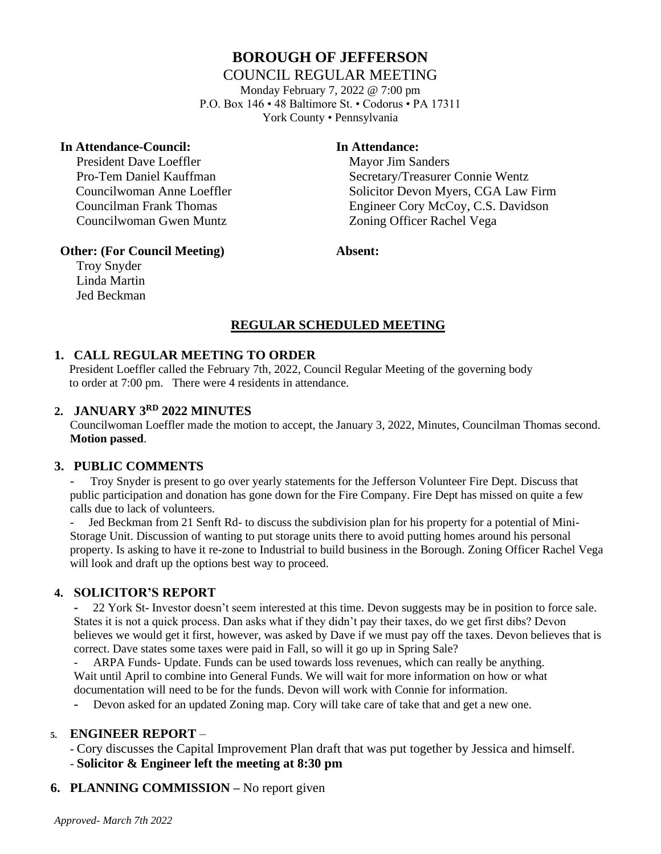## **BOROUGH OF JEFFERSON**

#### COUNCIL REGULAR MEETING

Monday February 7, 2022 @ 7:00 pm P.O. Box 146 • 48 Baltimore St. • Codorus • PA 17311 York County • Pennsylvania

#### **In Attendance-Council: In Attendance:**

President Dave Loeffler Mayor Jim Sanders Councilwoman Gwen Muntz Zoning Officer Rachel Vega

Pro-Tem Daniel Kauffman Secretary/Treasurer Connie Wentz Councilwoman Anne Loeffler Solicitor Devon Myers, CGA Law Firm Councilman Frank Thomas Engineer Cory McCoy, C.S. Davidson

#### **Other: (For Council Meeting) Absent:**

Troy Snyder Linda Martin Jed Beckman

# **REGULAR SCHEDULED MEETING**

#### **1. CALL REGULAR MEETING TO ORDER**

 President Loeffler called the February 7th, 2022, Council Regular Meeting of the governing body to order at 7:00 pm. There were 4 residents in attendance.

#### **2. JANUARY 3RD 2022 MINUTES**

Councilwoman Loeffler made the motion to accept, the January 3, 2022, Minutes, Councilman Thomas second. **Motion passed**.

#### **3. PUBLIC COMMENTS**

- Troy Snyder is present to go over yearly statements for the Jefferson Volunteer Fire Dept. Discuss that public participation and donation has gone down for the Fire Company. Fire Dept has missed on quite a few calls due to lack of volunteers.

Jed Beckman from 21 Senft Rd- to discuss the subdivision plan for his property for a potential of Mini-Storage Unit. Discussion of wanting to put storage units there to avoid putting homes around his personal property. Is asking to have it re-zone to Industrial to build business in the Borough. Zoning Officer Rachel Vega will look and draft up the options best way to proceed.

#### **4. SOLICITOR'S REPORT**

**-** 22 York St- Investor doesn't seem interested at this time. Devon suggests may be in position to force sale. States it is not a quick process. Dan asks what if they didn't pay their taxes, do we get first dibs? Devon believes we would get it first, however, was asked by Dave if we must pay off the taxes. Devon believes that is correct. Dave states some taxes were paid in Fall, so will it go up in Spring Sale?

ARPA Funds- Update. Funds can be used towards loss revenues, which can really be anything. Wait until April to combine into General Funds. We will wait for more information on how or what documentation will need to be for the funds. Devon will work with Connie for information.

**-** Devon asked for an updated Zoning map. Cory will take care of take that and get a new one.

#### **5. ENGINEER REPORT** –

- Cory discusses the Capital Improvement Plan draft that was put together by Jessica and himself. - **Solicitor & Engineer left the meeting at 8:30 pm**

**6. PLANNING COMMISSION –** No report given